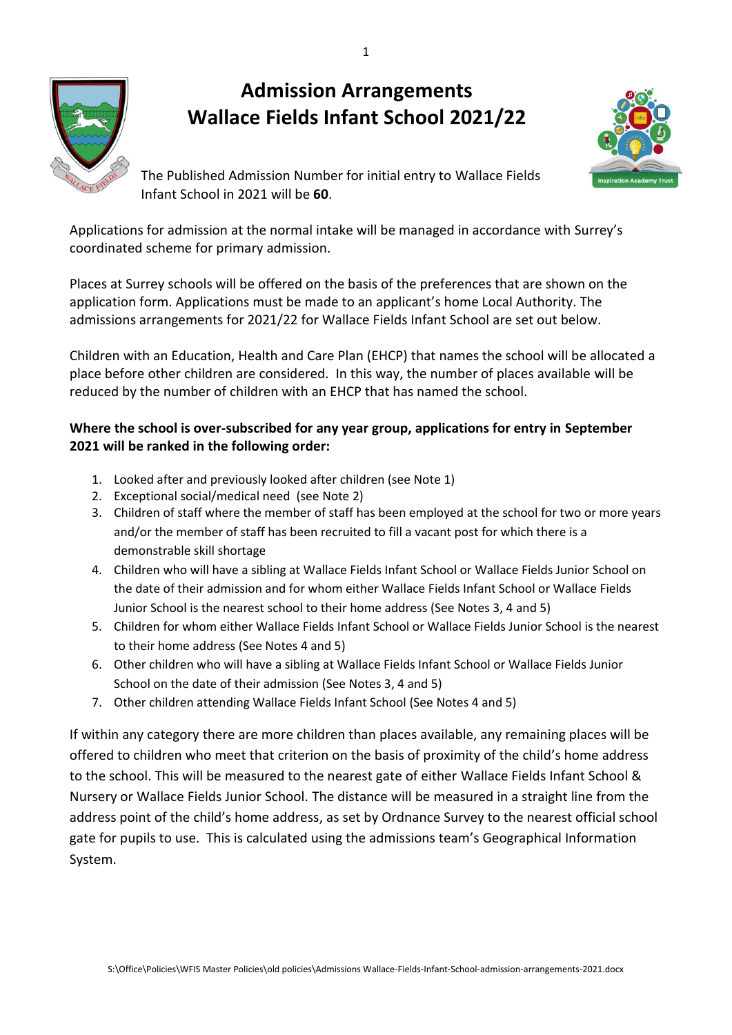# **Admission Arrangements Wallace Fields Infant School 2021/22**





The Published Admission Number for initial entry to Wallace Fields Infant School in 2021 will be **60**.

Applications for admission at the normal intake will be managed in accordance with Surrey's coordinated scheme for primary admission.

Places at Surrey schools will be offered on the basis of the preferences that are shown on the application form. Applications must be made to an applicant's home Local Authority. The admissions arrangements for 2021/22 for Wallace Fields Infant School are set out below.

Children with an Education, Health and Care Plan (EHCP) that names the school will be allocated a place before other children are considered. In this way, the number of places available will be reduced by the number of children with an EHCP that has named the school.

# **Where the school is over-subscribed for any year group, applications for entry in September 2021 will be ranked in the following order:**

- 1. Looked after and previously looked after children (see Note 1)
- 2. Exceptional social/medical need (see Note 2)
- 3. Children of staff where the member of staff has been employed at the school for two or more years and/or the member of staff has been recruited to fill a vacant post for which there is a demonstrable skill shortage
- 4. Children who will have a sibling at Wallace Fields Infant School or Wallace Fields Junior School on the date of their admission and for whom either Wallace Fields Infant School or Wallace Fields Junior School is the nearest school to their home address (See Notes 3, 4 and 5)
- 5. Children for whom either Wallace Fields Infant School or Wallace Fields Junior School is the nearest to their home address (See Notes 4 and 5)
- 6. Other children who will have a sibling at Wallace Fields Infant School or Wallace Fields Junior School on the date of their admission (See Notes 3, 4 and 5)
- 7. Other children attending Wallace Fields Infant School (See Notes 4 and 5)

If within any category there are more children than places available, any remaining places will be offered to children who meet that criterion on the basis of proximity of the child's home address to the school. This will be measured to the nearest gate of either Wallace Fields Infant School & Nursery or Wallace Fields Junior School. The distance will be measured in a straight line from the address point of the child's home address, as set by Ordnance Survey to the nearest official school gate for pupils to use. This is calculated using the admissions team's Geographical Information System.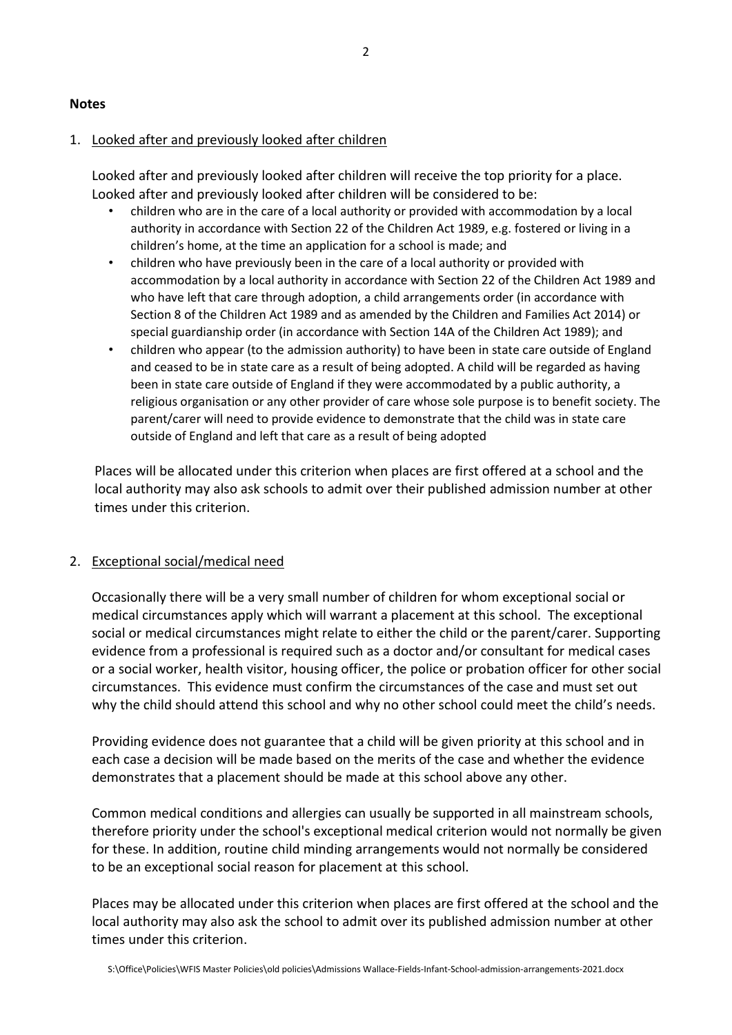#### **Notes**

#### 1. Looked after and previously looked after children

Looked after and previously looked after children will receive the top priority for a place. Looked after and previously looked after children will be considered to be:

- children who are in the care of a local authority or provided with accommodation by a local authority in accordance with Section 22 of the Children Act 1989, e.g. fostered or living in a children's home, at the time an application for a school is made; and
- children who have previously been in the care of a local authority or provided with accommodation by a local authority in accordance with Section 22 of the Children Act 1989 and who have left that care through adoption, a child arrangements order (in accordance with Section 8 of the Children Act 1989 and as amended by the Children and Families Act 2014) or special guardianship order (in accordance with Section 14A of the Children Act 1989); and
- children who appear (to the admission authority) to have been in state care outside of England and ceased to be in state care as a result of being adopted. A child will be regarded as having been in state care outside of England if they were accommodated by a public authority, a religious organisation or any other provider of care whose sole purpose is to benefit society. The parent/carer will need to provide evidence to demonstrate that the child was in state care outside of England and left that care as a result of being adopted

Places will be allocated under this criterion when places are first offered at a school and the local authority may also ask schools to admit over their published admission number at other times under this criterion.

#### 2. Exceptional social/medical need

Occasionally there will be a very small number of children for whom exceptional social or medical circumstances apply which will warrant a placement at this school. The exceptional social or medical circumstances might relate to either the child or the parent/carer. Supporting evidence from a professional is required such as a doctor and/or consultant for medical cases or a social worker, health visitor, housing officer, the police or probation officer for other social circumstances. This evidence must confirm the circumstances of the case and must set out why the child should attend this school and why no other school could meet the child's needs.

Providing evidence does not guarantee that a child will be given priority at this school and in each case a decision will be made based on the merits of the case and whether the evidence demonstrates that a placement should be made at this school above any other.

Common medical conditions and allergies can usually be supported in all mainstream schools, therefore priority under the school's exceptional medical criterion would not normally be given for these. In addition, routine child minding arrangements would not normally be considered to be an exceptional social reason for placement at this school.

Places may be allocated under this criterion when places are first offered at the school and the local authority may also ask the school to admit over its published admission number at other times under this criterion.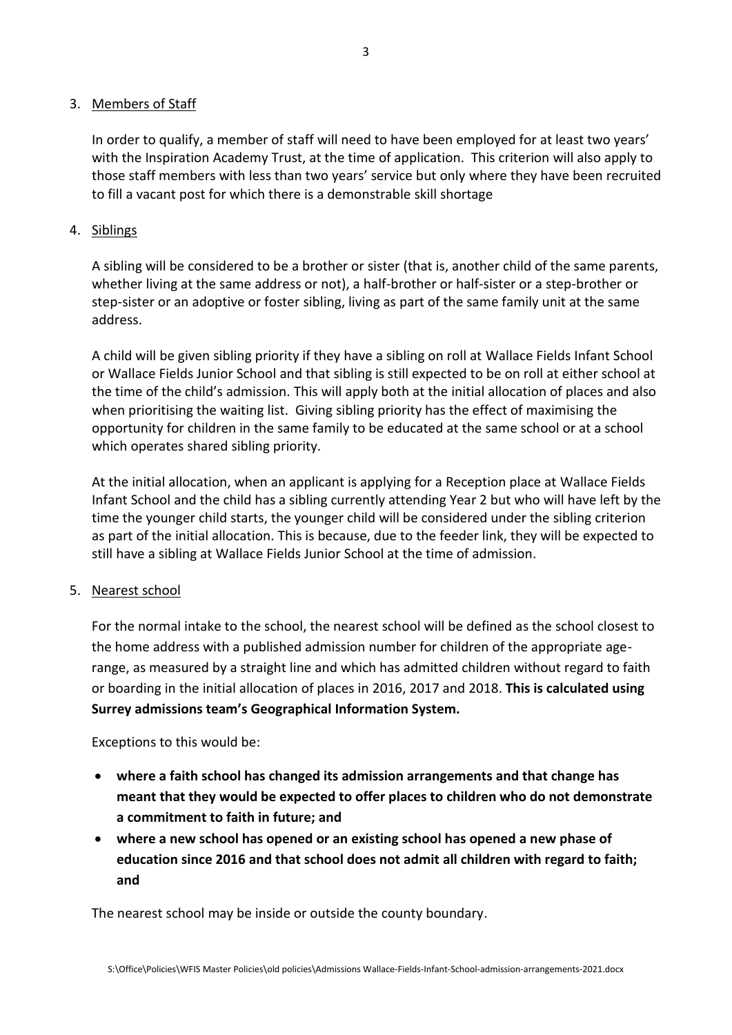## 3. Members of Staff

In order to qualify, a member of staff will need to have been employed for at least two years' with the Inspiration Academy Trust, at the time of application. This criterion will also apply to those staff members with less than two years' service but only where they have been recruited to fill a vacant post for which there is a demonstrable skill shortage

## 4. Siblings

A sibling will be considered to be a brother or sister (that is, another child of the same parents, whether living at the same address or not), a half-brother or half-sister or a step-brother or step-sister or an adoptive or foster sibling, living as part of the same family unit at the same address.

A child will be given sibling priority if they have a sibling on roll at Wallace Fields Infant School or Wallace Fields Junior School and that sibling is still expected to be on roll at either school at the time of the child's admission. This will apply both at the initial allocation of places and also when prioritising the waiting list. Giving sibling priority has the effect of maximising the opportunity for children in the same family to be educated at the same school or at a school which operates shared sibling priority.

At the initial allocation, when an applicant is applying for a Reception place at Wallace Fields Infant School and the child has a sibling currently attending Year 2 but who will have left by the time the younger child starts, the younger child will be considered under the sibling criterion as part of the initial allocation. This is because, due to the feeder link, they will be expected to still have a sibling at Wallace Fields Junior School at the time of admission.

# 5. Nearest school

For the normal intake to the school, the nearest school will be defined as the school closest to the home address with a published admission number for children of the appropriate agerange, as measured by a straight line and which has admitted children without regard to faith or boarding in the initial allocation of places in 2016, 2017 and 2018. **This is calculated using Surrey admissions team's Geographical Information System.**

Exceptions to this would be:

- **where a faith school has changed its admission arrangements and that change has meant that they would be expected to offer places to children who do not demonstrate a commitment to faith in future; and**
- **where a new school has opened or an existing school has opened a new phase of education since 2016 and that school does not admit all children with regard to faith; and**

The nearest school may be inside or outside the county boundary.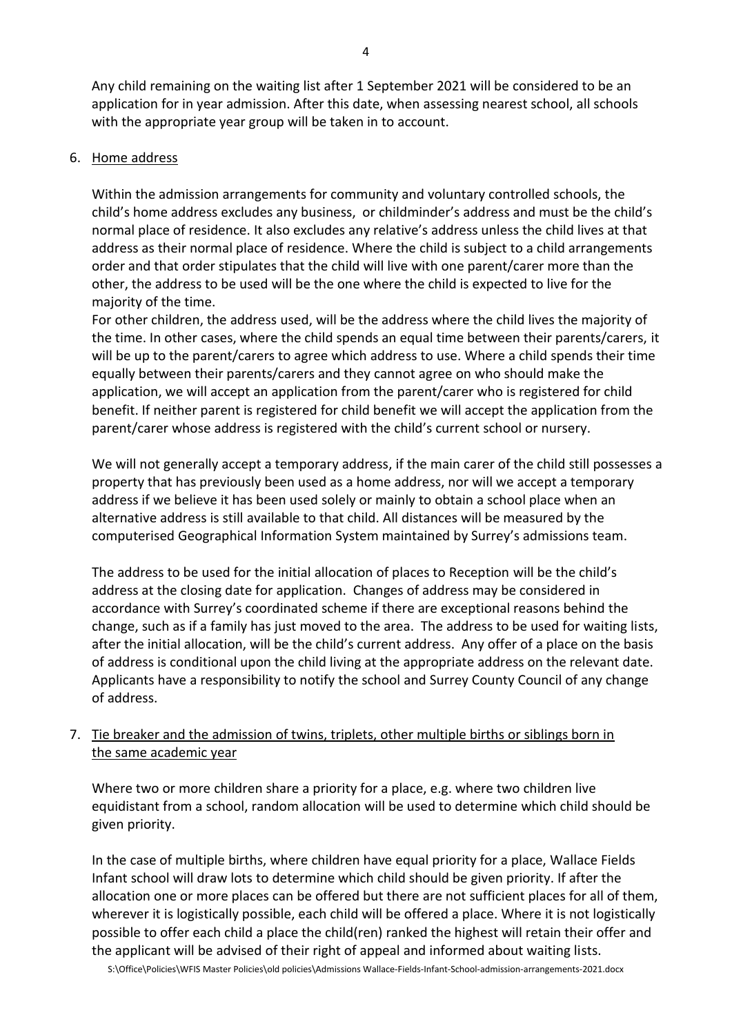Any child remaining on the waiting list after 1 September 2021 will be considered to be an application for in year admission. After this date, when assessing nearest school, all schools with the appropriate year group will be taken in to account.

#### 6. Home address

Within the admission arrangements for community and voluntary controlled schools, the child's home address excludes any business, or childminder's address and must be the child's normal place of residence. It also excludes any relative's address unless the child lives at that address as their normal place of residence. Where the child is subject to a child arrangements order and that order stipulates that the child will live with one parent/carer more than the other, the address to be used will be the one where the child is expected to live for the majority of the time.

For other children, the address used, will be the address where the child lives the majority of the time. In other cases, where the child spends an equal time between their parents/carers, it will be up to the parent/carers to agree which address to use. Where a child spends their time equally between their parents/carers and they cannot agree on who should make the application, we will accept an application from the parent/carer who is registered for child benefit. If neither parent is registered for child benefit we will accept the application from the parent/carer whose address is registered with the child's current school or nursery.

We will not generally accept a temporary address, if the main carer of the child still possesses a property that has previously been used as a home address, nor will we accept a temporary address if we believe it has been used solely or mainly to obtain a school place when an alternative address is still available to that child. All distances will be measured by the computerised Geographical Information System maintained by Surrey's admissions team.

The address to be used for the initial allocation of places to Reception will be the child's address at the closing date for application. Changes of address may be considered in accordance with Surrey's coordinated scheme if there are exceptional reasons behind the change, such as if a family has just moved to the area. The address to be used for waiting lists, after the initial allocation, will be the child's current address. Any offer of a place on the basis of address is conditional upon the child living at the appropriate address on the relevant date. Applicants have a responsibility to notify the school and Surrey County Council of any change of address.

# 7. Tie breaker and the admission of twins, triplets, other multiple births or siblings born in the same academic year

Where two or more children share a priority for a place, e.g. where two children live equidistant from a school, random allocation will be used to determine which child should be given priority.

In the case of multiple births, where children have equal priority for a place, Wallace Fields Infant school will draw lots to determine which child should be given priority. If after the allocation one or more places can be offered but there are not sufficient places for all of them, wherever it is logistically possible, each child will be offered a place. Where it is not logistically possible to offer each child a place the child(ren) ranked the highest will retain their offer and the applicant will be advised of their right of appeal and informed about waiting lists.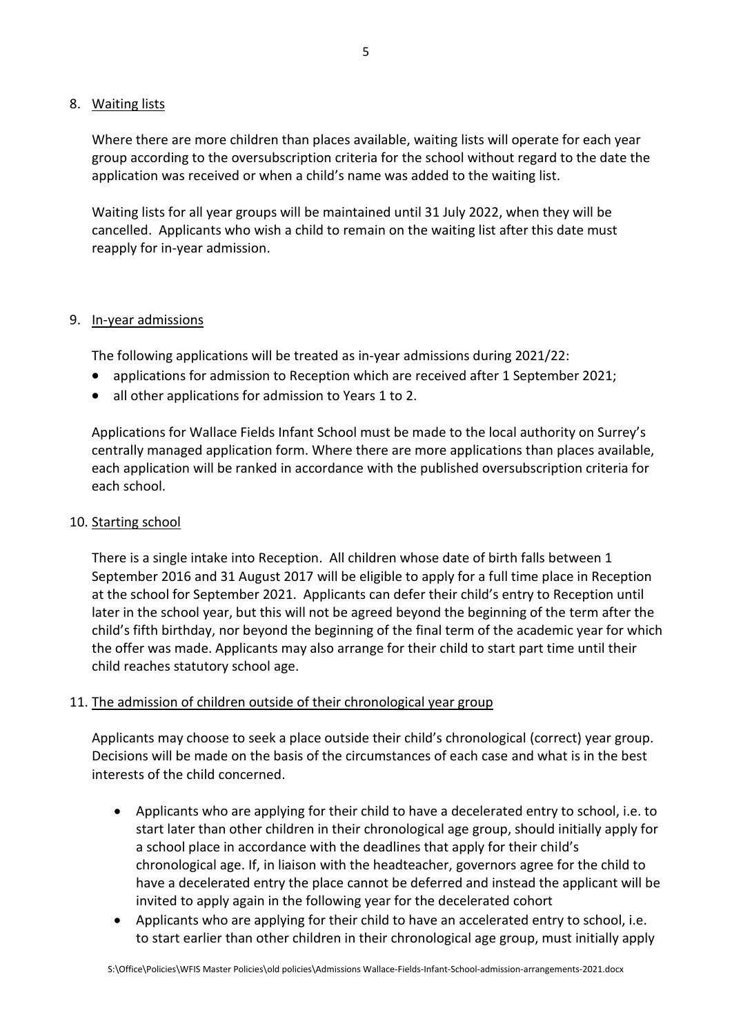## 8. Waiting lists

Where there are more children than places available, waiting lists will operate for each year group according to the oversubscription criteria for the school without regard to the date the application was received or when a child's name was added to the waiting list.

Waiting lists for all year groups will be maintained until 31 July 2022, when they will be cancelled. Applicants who wish a child to remain on the waiting list after this date must reapply for in-year admission.

## 9. In-year admissions

The following applications will be treated as in-year admissions during 2021/22:

- applications for admission to Reception which are received after 1 September 2021;
- all other applications for admission to Years 1 to 2.

Applications for Wallace Fields Infant School must be made to the local authority on Surrey's centrally managed application form. Where there are more applications than places available, each application will be ranked in accordance with the published oversubscription criteria for each school.

## 10. Starting school

There is a single intake into Reception. All children whose date of birth falls between 1 September 2016 and 31 August 2017 will be eligible to apply for a full time place in Reception at the school for September 2021. Applicants can defer their child's entry to Reception until later in the school year, but this will not be agreed beyond the beginning of the term after the child's fifth birthday, nor beyond the beginning of the final term of the academic year for which the offer was made. Applicants may also arrange for their child to start part time until their child reaches statutory school age.

## 11. The admission of children outside of their chronological year group

Applicants may choose to seek a place outside their child's chronological (correct) year group. Decisions will be made on the basis of the circumstances of each case and what is in the best interests of the child concerned.

- Applicants who are applying for their child to have a decelerated entry to school, i.e. to start later than other children in their chronological age group, should initially apply for a school place in accordance with the deadlines that apply for their child's chronological age. If, in liaison with the headteacher, governors agree for the child to have a decelerated entry the place cannot be deferred and instead the applicant will be invited to apply again in the following year for the decelerated cohort
- Applicants who are applying for their child to have an accelerated entry to school, i.e. to start earlier than other children in their chronological age group, must initially apply